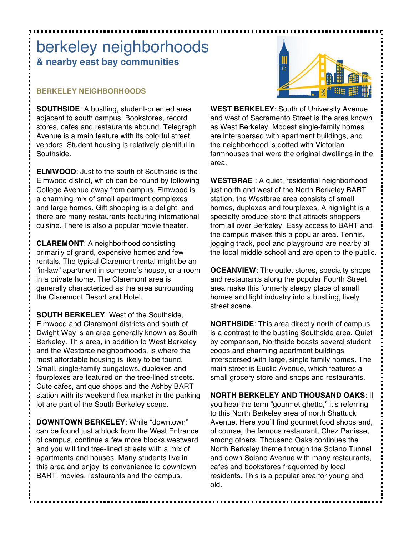# berkeley neighborhoods **& nearby east bay communities**

### **BERKELEY NEIGHBORHOODS**

**SOUTHSIDE**: A bustling, student-oriented area adjacent to south campus. Bookstores, record stores, cafes and restaurants abound. Telegraph Avenue is a main feature with its colorful street vendors. Student housing is relatively plentiful in Southside.

**ELMWOOD**: Just to the south of Southside is the Elmwood district, which can be found by following College Avenue away from campus. Elmwood is a charming mix of small apartment complexes and large homes. Gift shopping is a delight, and there are many restaurants featuring international cuisine. There is also a popular movie theater.

**CLAREMONT**: A neighborhood consisting primarily of grand, expensive homes and few rentals. The typical Claremont rental might be an "in-law" apartment in someone's house, or a room in a private home. The Claremont area is generally characterized as the area surrounding the Claremont Resort and Hotel.

**SOUTH BERKELEY**: West of the Southside, Elmwood and Claremont districts and south of Dwight Way is an area generally known as South Berkeley. This area, in addition to West Berkeley and the Westbrae neighborhoods, is where the most affordable housing is likely to be found. Small, single-family bungalows, duplexes and fourplexes are featured on the tree-lined streets. Cute cafes, antique shops and the Ashby BART station with its weekend flea market in the parking lot are part of the South Berkeley scene.

**DOWNTOWN BERKELEY**: While "downtown" can be found just a block from the West Entrance of campus, continue a few more blocks westward and you will find tree-lined streets with a mix of apartments and houses. Many students live in this area and enjoy its convenience to downtown BART, movies, restaurants and the campus.



**WEST BERKELEY**: South of University Avenue and west of Sacramento Street is the area known as West Berkeley. Modest single-family homes are interspersed with apartment buildings, and the neighborhood is dotted with Victorian farmhouses that were the original dwellings in the area.

**WESTBRAE** : A quiet, residential neighborhood just north and west of the North Berkeley BART station, the Westbrae area consists of small homes, duplexes and fourplexes. A highlight is a specialty produce store that attracts shoppers from all over Berkeley. Easy access to BART and the campus makes this a popular area. Tennis, jogging track, pool and playground are nearby at the local middle school and are open to the public.

**OCEANVIEW**: The outlet stores, specialty shops and restaurants along the popular Fourth Street area make this formerly sleepy place of small homes and light industry into a bustling, lively street scene.

**NORTHSIDE**: This area directly north of campus is a contrast to the bustling Southside area. Quiet by comparison, Northside boasts several student coops and charming apartment buildings interspersed with large, single family homes. The main street is Euclid Avenue, which features a small grocery store and shops and restaurants.

**NORTH BERKELEY AND THOUSAND OAKS**: If you hear the term "gourmet ghetto," it's referring to this North Berkeley area of north Shattuck Avenue. Here you'll find gourmet food shops and, of course, the famous restaurant, Chez Panisse, among others. Thousand Oaks continues the North Berkeley theme through the Solano Tunnel and down Solano Avenue with many restaurants, cafes and bookstores frequented by local residents. This is a popular area for young and old.